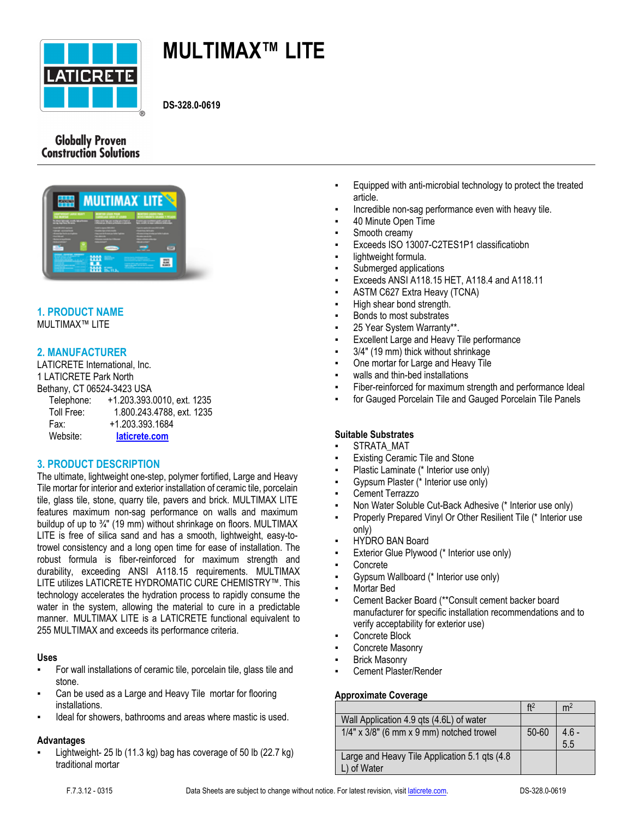

# **MULTIMAX™ LITE**

**DS-328.0-0619**

## **Globally Proven Construction Solutions**



# **1. PRODUCT NAME**

MULTIMAX™ LITE

## **2. MANUFACTURER**

LATICRETE International, Inc. 1 LATICRETE Park North Bethany, CT 06524-3423 USA Telephone: +1.203.393.0010, ext. 1235 Toll Free: 1.800.243.4788, ext. 1235 Fax: +1.203.393.1684 Website: **[laticrete.com](https://laticrete.com/)**

## **3. PRODUCT DESCRIPTION**

The ultimate, lightweight one-step, polymer fortified, Large and Heavy Tile mortar for interior and exterior installation of ceramic tile, porcelain tile, glass tile, stone, quarry tile, pavers and brick. MULTIMAX LITE features maximum non-sag performance on walls and maximum buildup of up to ¾" (19 mm) without shrinkage on floors. MULTIMAX LITE is free of silica sand and has a smooth, lightweight, easy-totrowel consistency and a long open time for ease of installation. The robust formula is fiber-reinforced for maximum strength and durability, exceeding ANSI A118.15 requirements. MULTIMAX LITE utilizes LATICRETE HYDROMATIC CURE CHEMISTRY™. This technology accelerates the hydration process to rapidly consume the water in the system, allowing the material to cure in a predictable manner. MULTIMAX LITE is a LATICRETE functional equivalent to 255 MULTIMAX and exceeds its performance criteria.

## **Uses**

- For wall installations of ceramic tile, porcelain tile, glass tile and stone.
- Can be used as a Large and Heavy Tile mortar for flooring installations.
- Ideal for showers, bathrooms and areas where mastic is used.

#### **Advantages**

Lightweight- 25 lb (11.3 kg) bag has coverage of 50 lb (22.7 kg) traditional mortar

- Equipped with anti-microbial technology to protect the treated article.
- Incredible non-sag performance even with heavy tile.
- 40 Minute Open Time
- Smooth creamy
- Exceeds ISO 13007-C2TES1P1 classificatiobn
- lightweight formula.
- Submerged applications
- Exceeds ANSI A118.15 HET, A118.4 and A118.11
- ASTM C627 Extra Heavy (TCNA)
- High shear bond strength.
- Bonds to most substrates
- 25 Year System Warranty\*\*.
- **Excellent Large and Heavy Tile performance**
- 3/4" (19 mm) thick without shrinkage
- One mortar for Large and Heavy Tile
- walls and thin-bed installations
- Fiber-reinforced for maximum strength and performance Ideal
- for Gauged Porcelain Tile and Gauged Porcelain Tile Panels

## **Suitable Substrates**

- STRATA\_MAT
- **Existing Ceramic Tile and Stone**
- Plastic Laminate (\* Interior use only)
- Gypsum Plaster (\* Interior use only)
- **Cement Terrazzo**
- Non Water Soluble Cut-Back Adhesive (\* Interior use only)
- Properly Prepared Vinyl Or Other Resilient Tile (\* Interior use only)
- **HYDRO BAN Board**
- Exterior Glue Plywood (\* Interior use only)
- **Concrete**
- Gypsum Wallboard (\* Interior use only)
- Mortar Bed
- Cement Backer Board (\*\*Consult cement backer board manufacturer for specific installation recommendations and to verify acceptability for exterior use)
- Concrete Block
- Concrete Masonry
- **Brick Masonry**
- Cement Plaster/Render

## **Approximate Coverage**

|                                                | ft2       | m <sup>2</sup> |
|------------------------------------------------|-----------|----------------|
| Wall Application 4.9 qts (4.6L) of water       |           |                |
| $1/4"$ x $3/8"$ (6 mm x 9 mm) notched trowel   | $50 - 60$ | $4.6 -$        |
|                                                |           | 5.5            |
| Large and Heavy Tile Application 5.1 qts (4.8) |           |                |
| L) of Water                                    |           |                |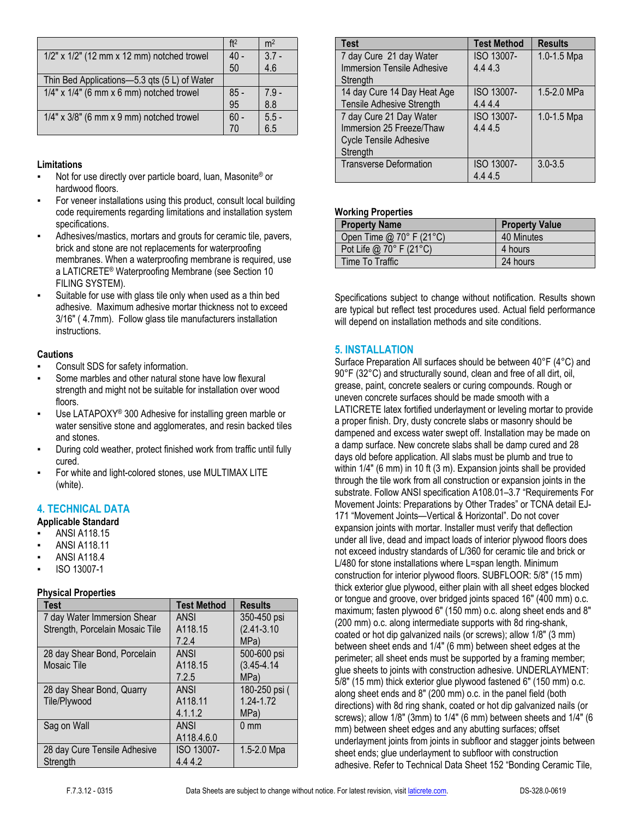|                                                  | ft <sup>2</sup> | m <sup>2</sup> |
|--------------------------------------------------|-----------------|----------------|
| $1/2$ " x $1/2$ " (12 mm x 12 mm) notched trowel | $40 -$          | $3.7 -$        |
|                                                  | 50              | 4.6            |
| Thin Bed Applications-5.3 qts (5 L) of Water     |                 |                |
| $1/4"$ x $1/4"$ (6 mm x 6 mm) notched trowel     | $85 -$          | $7.9 -$        |
|                                                  | 95              | 8.8            |
| $1/4"$ x $3/8"$ (6 mm x 9 mm) notched trowel     | $60 -$          | $5.5 -$        |
|                                                  | 70              | 6.5            |

#### **Limitations**

- Not for use directly over particle board, luan, Masonite® or hardwood floors.
- For veneer installations using this product, consult local building code requirements regarding limitations and installation system specifications.
- Adhesives/mastics, mortars and grouts for ceramic tile, pavers, brick and stone are not replacements for waterproofing membranes. When a waterproofing membrane is required, use a LATICRETE® Waterproofing Membrane (see Section 10 FILING SYSTEM).
- Suitable for use with glass tile only when used as a thin bed adhesive. Maximum adhesive mortar thickness not to exceed 3/16" ( 4.7mm). Follow glass tile manufacturers installation instructions.

#### **Cautions**

- Consult SDS for safety information.
- Some marbles and other natural stone have low flexural strength and might not be suitable for installation over wood floors.
- Use LATAPOXY<sup>®</sup> 300 Adhesive for installing green marble or water sensitive stone and agglomerates, and resin backed tiles and stones.
- During cold weather, protect finished work from traffic until fully cured.
- For white and light-colored stones, use MULTIMAX LITE (white).

## **4. TECHNICAL DATA**

#### **Applicable Standard**

- **ANSI A118.15**
- ANSI A118.11
- **ANSI A118.4**
- ISO 13007-1

## **Physical Properties**

| <b>Test</b>                     | <b>Test Method</b> | <b>Results</b>  |
|---------------------------------|--------------------|-----------------|
| 7 day Water Immersion Shear     | <b>ANSI</b>        | 350-450 psi     |
| Strength, Porcelain Mosaic Tile | A118.15            | $(2.41 - 3.10)$ |
|                                 | 7.2.4              | MPa)            |
| 28 day Shear Bond, Porcelain    | <b>ANSI</b>        | 500-600 psi     |
| Mosaic Tile                     | A118.15            | $(3.45 - 4.14)$ |
|                                 | 7.2.5              | MPa)            |
| 28 day Shear Bond, Quarry       | <b>ANSI</b>        | 180-250 psi (   |
| Tile/Plywood                    | A118.11            | 1.24-1.72       |
|                                 | 4.1.1.2            | MPa)            |
| Sag on Wall                     | <b>ANSI</b>        | $0 \text{ mm}$  |
|                                 | A118.4.6.0         |                 |
| 28 day Cure Tensile Adhesive    | ISO 13007-         | 1.5-2.0 Mpa     |
| Strength                        | 4.44.2             |                 |

| <b>Test</b>                       | <b>Test Method</b> | <b>Results</b> |
|-----------------------------------|--------------------|----------------|
| 7 day Cure 21 day Water           | ISO 13007-         | 1.0-1.5 Mpa    |
| <b>Immersion Tensile Adhesive</b> | 4.44.3             |                |
| Strength                          |                    |                |
| 14 day Cure 14 Day Heat Age       | ISO 13007-         | 1.5-2.0 MPa    |
| Tensile Adhesive Strength         | 4.44.4             |                |
| 7 day Cure 21 Day Water           | ISO 13007-         | 1.0-1.5 Mpa    |
| Immersion 25 Freeze/Thaw          | 4.44.5             |                |
| <b>Cycle Tensile Adhesive</b>     |                    |                |
| Strength                          |                    |                |
| <b>Transverse Deformation</b>     | ISO 13007-         | $3.0 - 3.5$    |
|                                   | 4.44.5             |                |

#### **Working Properties**

| <b>Property Name</b>     | <b>Property Value</b> |
|--------------------------|-----------------------|
| Open Time @ 70° F (21°C) | 40 Minutes            |
| Pot Life @ 70° F (21°C)  | 4 hours               |
| Time To Traffic          | 24 hours              |

Specifications subject to change without notification. Results shown are typical but reflect test procedures used. Actual field performance will depend on installation methods and site conditions.

## **5. INSTALLATION**

Surface Preparation All surfaces should be between 40°F (4°C) and 90°F (32°C) and structurally sound, clean and free of all dirt, oil, grease, paint, concrete sealers or curing compounds. Rough or uneven concrete surfaces should be made smooth with a LATICRETE latex fortified underlayment or leveling mortar to provide a proper finish. Dry, dusty concrete slabs or masonry should be dampened and excess water swept off. Installation may be made on a damp surface. New concrete slabs shall be damp cured and 28 days old before application. All slabs must be plumb and true to within 1/4" (6 mm) in 10 ft (3 m). Expansion joints shall be provided through the tile work from all construction or expansion joints in the substrate. Follow ANSI specification A108.01–3.7 "Requirements For Movement Joints: Preparations by Other Trades" or TCNA detail EJ-171 "Movement Joints—Vertical & Horizontal". Do not cover expansion joints with mortar. Installer must verify that deflection under all live, dead and impact loads of interior plywood floors does not exceed industry standards of L/360 for ceramic tile and brick or L/480 for stone installations where L=span length. Minimum construction for interior plywood floors. SUBFLOOR: 5/8" (15 mm) thick exterior glue plywood, either plain with all sheet edges blocked or tongue and groove, over bridged joints spaced 16" (400 mm) o.c. maximum; fasten plywood 6" (150 mm) o.c. along sheet ends and 8" (200 mm) o.c. along intermediate supports with 8d ring-shank, coated or hot dip galvanized nails (or screws); allow 1/8" (3 mm) between sheet ends and 1/4" (6 mm) between sheet edges at the perimeter; all sheet ends must be supported by a framing member; glue sheets to joints with construction adhesive. UNDERLAYMENT: 5/8" (15 mm) thick exterior glue plywood fastened 6" (150 mm) o.c. along sheet ends and 8" (200 mm) o.c. in the panel field (both directions) with 8d ring shank, coated or hot dip galvanized nails (or screws); allow 1/8" (3mm) to 1/4" (6 mm) between sheets and 1/4" (6 mm) between sheet edges and any abutting surfaces; offset underlayment joints from joints in subfloor and stagger joints between sheet ends; glue underlayment to subfloor with construction adhesive. Refer to Technical Data Sheet 152 "Bonding Ceramic Tile,